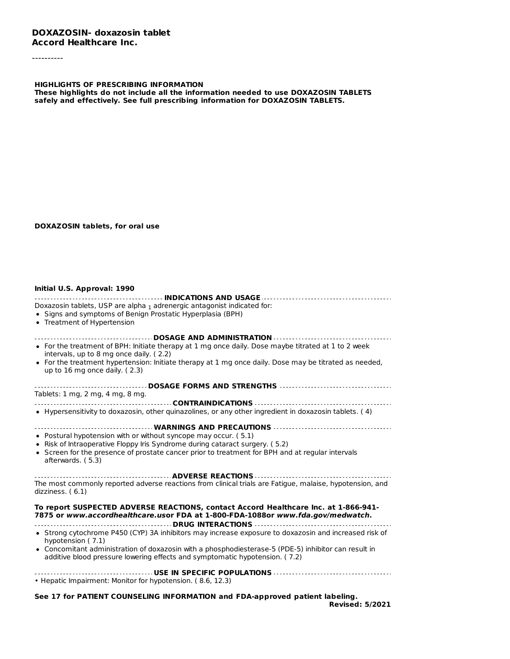#### **DOXAZOSIN- doxazosin tablet Accord Healthcare Inc.**

----------

#### **HIGHLIGHTS OF PRESCRIBING INFORMATION These highlights do not include all the information needed to use DOXAZOSIN TABLETS safely and effectively. See full prescribing information for DOXAZOSIN TABLETS.**

**DOXAZOSIN tablets, for oral use**

#### **Initial U.S. Approval: 1990**

| Doxazosin tablets, USP are alpha 1 adrenergic antagonist indicated for:                                                                                                             |
|-------------------------------------------------------------------------------------------------------------------------------------------------------------------------------------|
| • Signs and symptoms of Benign Prostatic Hyperplasia (BPH)                                                                                                                          |
| • Treatment of Hypertension                                                                                                                                                         |
|                                                                                                                                                                                     |
|                                                                                                                                                                                     |
| • For the treatment of BPH: Initiate therapy at 1 mg once daily. Dose maybe titrated at 1 to 2 week<br>intervals, up to 8 mg once daily. (2.2)                                      |
| • For the treatment hypertension: Initiate therapy at 1 mg once daily. Dose may be titrated as needed,<br>up to 16 mg once daily. (2.3)                                             |
|                                                                                                                                                                                     |
| Tablets: 1 mg, 2 mg, 4 mg, 8 mg.                                                                                                                                                    |
|                                                                                                                                                                                     |
| • Hypersensitivity to doxazosin, other quinazolines, or any other ingredient in doxazosin tablets. (4)                                                                              |
|                                                                                                                                                                                     |
| • Postural hypotension with or without syncope may occur. $(5.1)$                                                                                                                   |
| • Risk of Intraoperative Floppy Iris Syndrome during cataract surgery. (5.2)                                                                                                        |
| • Screen for the presence of prostate cancer prior to treatment for BPH and at regular intervals<br>afterwards. (5.3)                                                               |
|                                                                                                                                                                                     |
| The most commonly reported adverse reactions from clinical trials are Fatigue, malaise, hypotension, and<br>dizziness. (6.1)                                                        |
| To report SUSPECTED ADVERSE REACTIONS, contact Accord Healthcare Inc. at 1-866-941-<br>7875 or www.accordhealthcare.usor FDA at 1-800-FDA-1088or www.fda.gov/medwatch.              |
|                                                                                                                                                                                     |
| • Strong cytochrome P450 (CYP) 3A inhibitors may increase exposure to doxazosin and increased risk of<br>hypotension (7.1)                                                          |
| • Concomitant administration of doxazosin with a phosphodiesterase-5 (PDE-5) inhibitor can result in<br>additive blood pressure lowering effects and symptomatic hypotension. (7.2) |
|                                                                                                                                                                                     |
| • Hepatic Impairment: Monitor for hypotension. (8.6, 12.3)                                                                                                                          |
|                                                                                                                                                                                     |

**See 17 for PATIENT COUNSELING INFORMATION and FDA-approved patient labeling. Revised: 5/2021**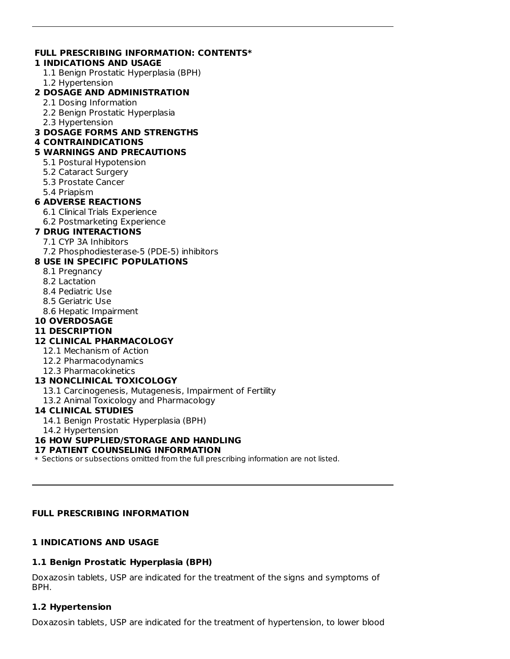# **FULL PRESCRIBING INFORMATION: CONTENTS\***

#### **1 INDICATIONS AND USAGE**

1.1 Benign Prostatic Hyperplasia (BPH) 1.2 Hypertension

#### **2 DOSAGE AND ADMINISTRATION**

- 2.1 Dosing Information
- 2.2 Benign Prostatic Hyperplasia

2.3 Hypertension

### **3 DOSAGE FORMS AND STRENGTHS**

#### **4 CONTRAINDICATIONS**

### **5 WARNINGS AND PRECAUTIONS**

5.1 Postural Hypotension

- 5.2 Cataract Surgery
- 5.3 Prostate Cancer
- 5.4 Priapism

#### **6 ADVERSE REACTIONS**

- 6.1 Clinical Trials Experience
- 6.2 Postmarketing Experience
- **7 DRUG INTERACTIONS**

#### 7.1 CYP 3A Inhibitors

7.2 Phosphodiesterase-5 (PDE-5) inhibitors

### **8 USE IN SPECIFIC POPULATIONS**

- 8.1 Pregnancy
- 8.2 Lactation
- 8.4 Pediatric Use
- 8.5 Geriatric Use
- 8.6 Hepatic Impairment

#### **10 OVERDOSAGE**

### **11 DESCRIPTION**

#### **12 CLINICAL PHARMACOLOGY**

- 12.1 Mechanism of Action
- 12.2 Pharmacodynamics
- 12.3 Pharmacokinetics

### **13 NONCLINICAL TOXICOLOGY**

- 13.1 Carcinogenesis, Mutagenesis, Impairment of Fertility
- 13.2 Animal Toxicology and Pharmacology

#### **14 CLINICAL STUDIES**

- 14.1 Benign Prostatic Hyperplasia (BPH)
- 14.2 Hypertension

#### **16 HOW SUPPLIED/STORAGE AND HANDLING**

#### **17 PATIENT COUNSELING INFORMATION**

\* Sections or subsections omitted from the full prescribing information are not listed.

### **FULL PRESCRIBING INFORMATION**

### **1 INDICATIONS AND USAGE**

#### **1.1 Benign Prostatic Hyperplasia (BPH)**

Doxazosin tablets, USP are indicated for the treatment of the signs and symptoms of BPH.

### **1.2 Hypertension**

Doxazosin tablets, USP are indicated for the treatment of hypertension, to lower blood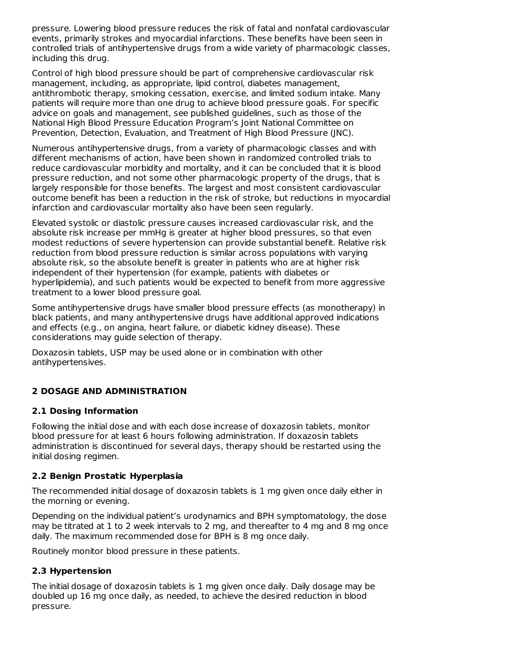pressure. Lowering blood pressure reduces the risk of fatal and nonfatal cardiovascular events, primarily strokes and myocardial infarctions. These benefits have been seen in controlled trials of antihypertensive drugs from a wide variety of pharmacologic classes, including this drug.

Control of high blood pressure should be part of comprehensive cardiovascular risk management, including, as appropriate, lipid control, diabetes management, antithrombotic therapy, smoking cessation, exercise, and limited sodium intake. Many patients will require more than one drug to achieve blood pressure goals. For specific advice on goals and management, see published guidelines, such as those of the National High Blood Pressure Education Program's Joint National Committee on Prevention, Detection, Evaluation, and Treatment of High Blood Pressure (JNC).

Numerous antihypertensive drugs, from a variety of pharmacologic classes and with different mechanisms of action, have been shown in randomized controlled trials to reduce cardiovascular morbidity and mortality, and it can be concluded that it is blood pressure reduction, and not some other pharmacologic property of the drugs, that is largely responsible for those benefits. The largest and most consistent cardiovascular outcome benefit has been a reduction in the risk of stroke, but reductions in myocardial infarction and cardiovascular mortality also have been seen regularly.

Elevated systolic or diastolic pressure causes increased cardiovascular risk, and the absolute risk increase per mmHg is greater at higher blood pressures, so that even modest reductions of severe hypertension can provide substantial benefit. Relative risk reduction from blood pressure reduction is similar across populations with varying absolute risk, so the absolute benefit is greater in patients who are at higher risk independent of their hypertension (for example, patients with diabetes or hyperlipidemia), and such patients would be expected to benefit from more aggressive treatment to a lower blood pressure goal.

Some antihypertensive drugs have smaller blood pressure effects (as monotherapy) in black patients, and many antihypertensive drugs have additional approved indications and effects (e.g., on angina, heart failure, or diabetic kidney disease). These considerations may guide selection of therapy.

Doxazosin tablets, USP may be used alone or in combination with other antihypertensives.

## **2 DOSAGE AND ADMINISTRATION**

### **2.1 Dosing Information**

Following the initial dose and with each dose increase of doxazosin tablets, monitor blood pressure for at least 6 hours following administration. If doxazosin tablets administration is discontinued for several days, therapy should be restarted using the initial dosing regimen.

### **2.2 Benign Prostatic Hyperplasia**

The recommended initial dosage of doxazosin tablets is 1 mg given once daily either in the morning or evening.

Depending on the individual patient's urodynamics and BPH symptomatology, the dose may be titrated at 1 to 2 week intervals to 2 mg, and thereafter to 4 mg and 8 mg once daily. The maximum recommended dose for BPH is 8 mg once daily.

Routinely monitor blood pressure in these patients.

### **2.3 Hypertension**

The initial dosage of doxazosin tablets is 1 mg given once daily. Daily dosage may be doubled up 16 mg once daily, as needed, to achieve the desired reduction in blood pressure.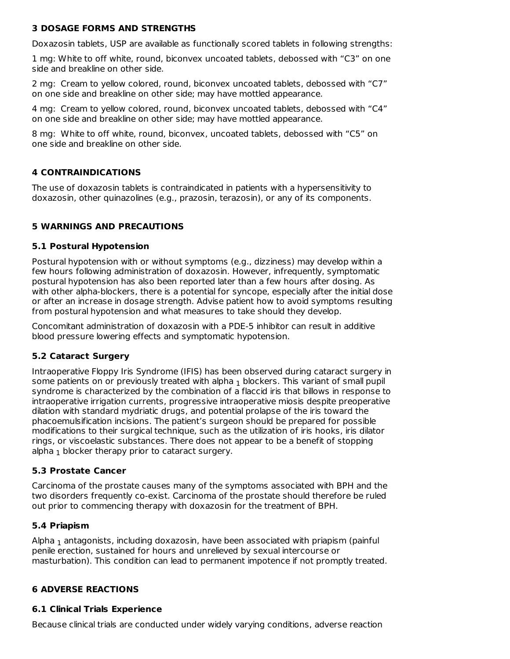### **3 DOSAGE FORMS AND STRENGTHS**

Doxazosin tablets, USP are available as functionally scored tablets in following strengths:

1 mg: White to off white, round, biconvex uncoated tablets, debossed with "C3" on one side and breakline on other side.

2 mg: Cream to yellow colored, round, biconvex uncoated tablets, debossed with "C7" on one side and breakline on other side; may have mottled appearance.

4 mg: Cream to yellow colored, round, biconvex uncoated tablets, debossed with "C4" on one side and breakline on other side; may have mottled appearance.

8 mg: White to off white, round, biconvex, uncoated tablets, debossed with "C5" on one side and breakline on other side.

### **4 CONTRAINDICATIONS**

The use of doxazosin tablets is contraindicated in patients with a hypersensitivity to doxazosin, other quinazolines (e.g., prazosin, terazosin), or any of its components.

### **5 WARNINGS AND PRECAUTIONS**

### **5.1 Postural Hypotension**

Postural hypotension with or without symptoms (e.g., dizziness) may develop within a few hours following administration of doxazosin. However, infrequently, symptomatic postural hypotension has also been reported later than a few hours after dosing. As with other alpha-blockers, there is a potential for syncope, especially after the initial dose or after an increase in dosage strength. Advise patient how to avoid symptoms resulting from postural hypotension and what measures to take should they develop.

Concomitant administration of doxazosin with a PDE-5 inhibitor can result in additive blood pressure lowering effects and symptomatic hypotension.

### **5.2 Cataract Surgery**

Intraoperative Floppy Iris Syndrome (IFIS) has been observed during cataract surgery in some patients on or previously treated with alpha  $_{\rm 1}$  blockers. This variant of small pupil syndrome is characterized by the combination of a flaccid iris that billows in response to intraoperative irrigation currents, progressive intraoperative miosis despite preoperative dilation with standard mydriatic drugs, and potential prolapse of the iris toward the phacoemulsification incisions. The patient's surgeon should be prepared for possible modifications to their surgical technique, such as the utilization of iris hooks, iris dilator rings, or viscoelastic substances. There does not appear to be a benefit of stopping alpha  $_{\rm 1}$  blocker therapy prior to cataract surgery.

### **5.3 Prostate Cancer**

Carcinoma of the prostate causes many of the symptoms associated with BPH and the two disorders frequently co-exist. Carcinoma of the prostate should therefore be ruled out prior to commencing therapy with doxazosin for the treatment of BPH.

#### **5.4 Priapism**

Alpha  $_1$  antagonists, including doxazosin, have been associated with priapism (painful penile erection, sustained for hours and unrelieved by sexual intercourse or masturbation). This condition can lead to permanent impotence if not promptly treated.

#### **6 ADVERSE REACTIONS**

### **6.1 Clinical Trials Experience**

Because clinical trials are conducted under widely varying conditions, adverse reaction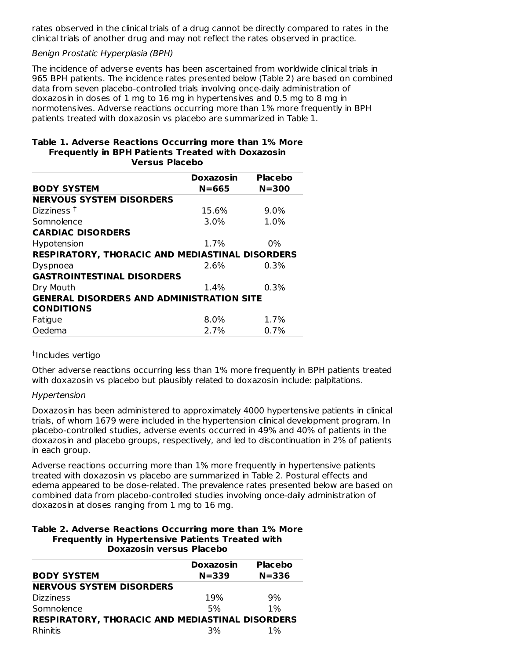rates observed in the clinical trials of a drug cannot be directly compared to rates in the clinical trials of another drug and may not reflect the rates observed in practice.

#### Benign Prostatic Hyperplasia (BPH)

The incidence of adverse events has been ascertained from worldwide clinical trials in 965 BPH patients. The incidence rates presented below (Table 2) are based on combined data from seven placebo-controlled trials involving once-daily administration of doxazosin in doses of 1 mg to 16 mg in hypertensives and 0.5 mg to 8 mg in normotensives. Adverse reactions occurring more than 1% more frequently in BPH patients treated with doxazosin vs placebo are summarized in Table 1.

#### **Table 1. Adverse Reactions Occurring more than 1% More Frequently in BPH Patients Treated with Doxazosin Versus Placebo**

|                                                  | Doxazosin | <b>Placebo</b> |
|--------------------------------------------------|-----------|----------------|
| <b>BODY SYSTEM</b>                               | $N = 665$ | $N = 300$      |
| <b>NERVOUS SYSTEM DISORDERS</b>                  |           |                |
| Dizziness $†$                                    | 15.6%     | $9.0\%$        |
| Somnolence                                       | 3.0%      | 1.0%           |
| <b>CARDIAC DISORDERS</b>                         |           |                |
| Hypotension                                      | 1.7%      | $0\%$          |
| RESPIRATORY, THORACIC AND MEDIASTINAL DISORDERS  |           |                |
| Dyspnoea                                         | 2.6%      | 0.3%           |
| <b>GASTROINTESTINAL DISORDERS</b>                |           |                |
| Dry Mouth                                        | 1.4%      | 0.3%           |
| <b>GENERAL DISORDERS AND ADMINISTRATION SITE</b> |           |                |
| <b>CONDITIONS</b>                                |           |                |
| Fatigue                                          | 8.0%      | 1.7%           |
| Oedema                                           | 2.7%      | 0.7%           |

#### <sup>†</sup>Includes vertigo

Other adverse reactions occurring less than 1% more frequently in BPH patients treated with doxazosin vs placebo but plausibly related to doxazosin include: palpitations.

#### Hypertension

Doxazosin has been administered to approximately 4000 hypertensive patients in clinical trials, of whom 1679 were included in the hypertension clinical development program. In placebo-controlled studies, adverse events occurred in 49% and 40% of patients in the doxazosin and placebo groups, respectively, and led to discontinuation in 2% of patients in each group.

Adverse reactions occurring more than 1% more frequently in hypertensive patients treated with doxazosin vs placebo are summarized in Table 2. Postural effects and edema appeared to be dose-related. The prevalence rates presented below are based on combined data from placebo-controlled studies involving once-daily administration of doxazosin at doses ranging from 1 mg to 16 mg.

#### **Table 2. Adverse Reactions Occurring more than 1% More Frequently in Hypertensive Patients Treated with Doxazosin versus Placebo**

|                                                 | <b>Doxazosin</b> | <b>Placebo</b> |
|-------------------------------------------------|------------------|----------------|
| <b>BODY SYSTEM</b>                              | $N = 339$        | $N = 336$      |
| <b>NERVOUS SYSTEM DISORDERS</b>                 |                  |                |
| <b>Dizziness</b>                                | 19%              | 9%             |
| Somnolence                                      | 5%               | $1\%$          |
| RESPIRATORY, THORACIC AND MEDIASTINAL DISORDERS |                  |                |
| <b>Rhinitis</b>                                 | 3%               | 1%             |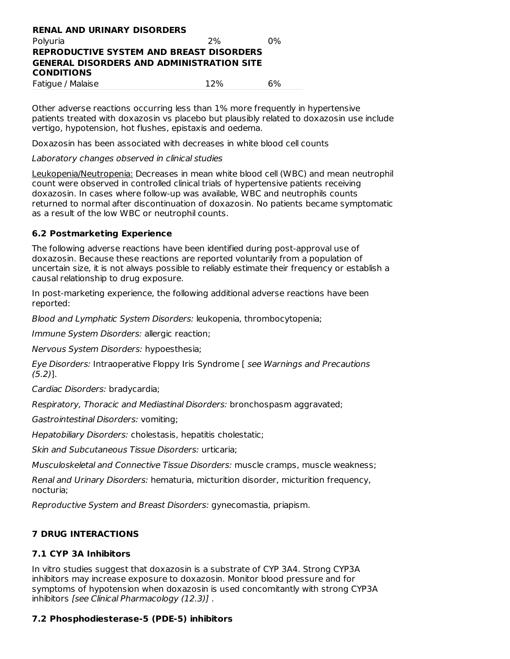| <b>RENAL AND URINARY DISORDERS</b>               |     |    |
|--------------------------------------------------|-----|----|
| Polyuria                                         | 2%  | በ% |
| <b>REPRODUCTIVE SYSTEM AND BREAST DISORDERS</b>  |     |    |
| <b>GENERAL DISORDERS AND ADMINISTRATION SITE</b> |     |    |
| <b>CONDITIONS</b>                                |     |    |
| Fatigue / Malaise                                | 12% | 6% |

Other adverse reactions occurring less than 1% more frequently in hypertensive patients treated with doxazosin vs placebo but plausibly related to doxazosin use include vertigo, hypotension, hot flushes, epistaxis and oedema.

Doxazosin has been associated with decreases in white blood cell counts

Laboratory changes observed in clinical studies

Leukopenia/Neutropenia: Decreases in mean white blood cell (WBC) and mean neutrophil count were observed in controlled clinical trials of hypertensive patients receiving doxazosin. In cases where follow-up was available, WBC and neutrophils counts returned to normal after discontinuation of doxazosin. No patients became symptomatic as a result of the low WBC or neutrophil counts.

### **6.2 Postmarketing Experience**

The following adverse reactions have been identified during post-approval use of doxazosin. Because these reactions are reported voluntarily from a population of uncertain size, it is not always possible to reliably estimate their frequency or establish a causal relationship to drug exposure.

In post-marketing experience, the following additional adverse reactions have been reported:

Blood and Lymphatic System Disorders: leukopenia, thrombocytopenia;

Immune System Disorders: allergic reaction;

Nervous System Disorders: hypoesthesia;

Eye Disorders: Intraoperative Floppy Iris Syndrome [ see Warnings and Precautions  $(5.2)$ ].

Cardiac Disorders: bradycardia;

Respiratory, Thoracic and Mediastinal Disorders: bronchospasm aggravated;

Gastrointestinal Disorders: vomiting;

Hepatobiliary Disorders: cholestasis, hepatitis cholestatic;

Skin and Subcutaneous Tissue Disorders: urticaria;

Musculoskeletal and Connective Tissue Disorders: muscle cramps, muscle weakness;

Renal and Urinary Disorders: hematuria, micturition disorder, micturition frequency, nocturia;

Reproductive System and Breast Disorders: gynecomastia, priapism.

### **7 DRUG INTERACTIONS**

### **7.1 CYP 3A Inhibitors**

In vitro studies suggest that doxazosin is a substrate of CYP 3A4. Strong CYP3A inhibitors may increase exposure to doxazosin. Monitor blood pressure and for symptoms of hypotension when doxazosin is used concomitantly with strong CYP3A inhibitors [see Clinical Pharmacology (12.3)] .

#### **7.2 Phosphodiesterase-5 (PDE-5) inhibitors**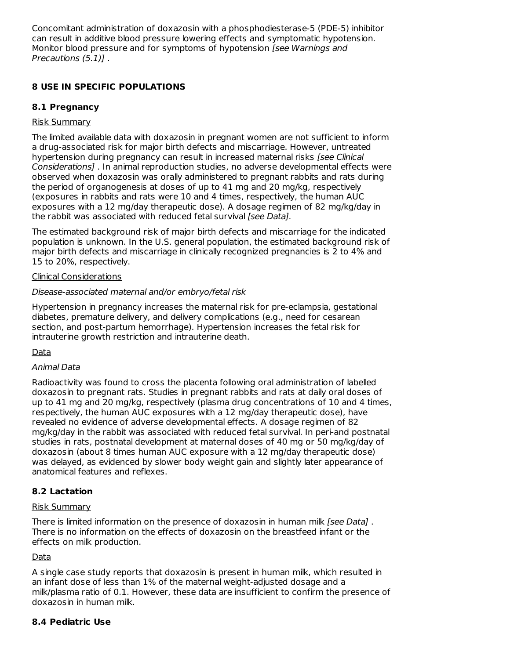Concomitant administration of doxazosin with a phosphodiesterase-5 (PDE-5) inhibitor can result in additive blood pressure lowering effects and symptomatic hypotension. Monitor blood pressure and for symptoms of hypotension *[see Warnings and* Precautions (5.1)] .

## **8 USE IN SPECIFIC POPULATIONS**

### **8.1 Pregnancy**

### Risk Summary

The limited available data with doxazosin in pregnant women are not sufficient to inform a drug-associated risk for major birth defects and miscarriage. However, untreated hypertension during pregnancy can result in increased maternal risks [see Clinical] Considerations] . In animal reproduction studies, no adverse developmental effects were observed when doxazosin was orally administered to pregnant rabbits and rats during the period of organogenesis at doses of up to 41 mg and 20 mg/kg, respectively (exposures in rabbits and rats were 10 and 4 times, respectively, the human AUC exposures with a 12 mg/day therapeutic dose). A dosage regimen of 82 mg/kg/day in the rabbit was associated with reduced fetal survival [see Data].

The estimated background risk of major birth defects and miscarriage for the indicated population is unknown. In the U.S. general population, the estimated background risk of major birth defects and miscarriage in clinically recognized pregnancies is 2 to 4% and 15 to 20%, respectively.

### Clinical Considerations

### Disease-associated maternal and/or embryo/fetal risk

Hypertension in pregnancy increases the maternal risk for pre-eclampsia, gestational diabetes, premature delivery, and delivery complications (e.g., need for cesarean section, and post-partum hemorrhage). Hypertension increases the fetal risk for intrauterine growth restriction and intrauterine death.

### Data

### Animal Data

Radioactivity was found to cross the placenta following oral administration of labelled doxazosin to pregnant rats. Studies in pregnant rabbits and rats at daily oral doses of up to 41 mg and 20 mg/kg, respectively (plasma drug concentrations of 10 and 4 times, respectively, the human AUC exposures with a 12 mg/day therapeutic dose), have revealed no evidence of adverse developmental effects. A dosage regimen of 82 mg/kg/day in the rabbit was associated with reduced fetal survival. In peri-and postnatal studies in rats, postnatal development at maternal doses of 40 mg or 50 mg/kg/day of doxazosin (about 8 times human AUC exposure with a 12 mg/day therapeutic dose) was delayed, as evidenced by slower body weight gain and slightly later appearance of anatomical features and reflexes.

### **8.2 Lactation**

#### Risk Summary

There is limited information on the presence of doxazosin in human milk [see Data]. There is no information on the effects of doxazosin on the breastfeed infant or the effects on milk production.

### Data

A single case study reports that doxazosin is present in human milk, which resulted in an infant dose of less than 1% of the maternal weight-adjusted dosage and a milk/plasma ratio of 0.1. However, these data are insufficient to confirm the presence of doxazosin in human milk.

#### **8.4 Pediatric Use**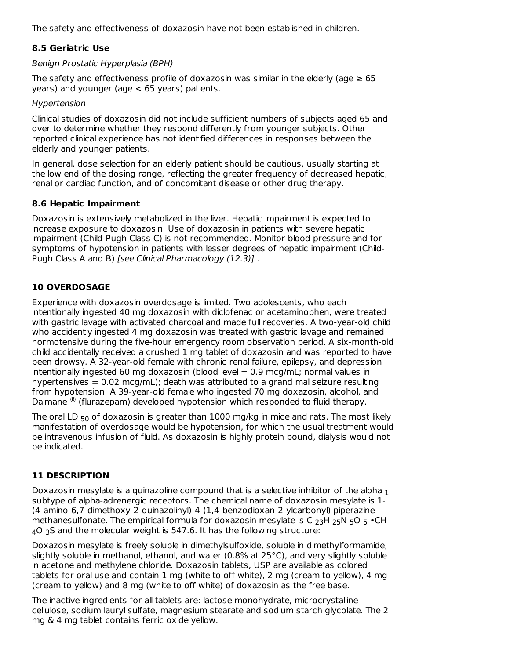The safety and effectiveness of doxazosin have not been established in children.

## **8.5 Geriatric Use**

### Benign Prostatic Hyperplasia (BPH)

The safety and effectiveness profile of doxazosin was similar in the elderly (age  $\geq 65$ years) and younger (age < 65 years) patients.

### Hypertension

Clinical studies of doxazosin did not include sufficient numbers of subjects aged 65 and over to determine whether they respond differently from younger subjects. Other reported clinical experience has not identified differences in responses between the elderly and younger patients.

In general, dose selection for an elderly patient should be cautious, usually starting at the low end of the dosing range, reflecting the greater frequency of decreased hepatic, renal or cardiac function, and of concomitant disease or other drug therapy.

### **8.6 Hepatic Impairment**

Doxazosin is extensively metabolized in the liver. Hepatic impairment is expected to increase exposure to doxazosin. Use of doxazosin in patients with severe hepatic impairment (Child-Pugh Class C) is not recommended. Monitor blood pressure and for symptoms of hypotension in patients with lesser degrees of hepatic impairment (Child-Pugh Class A and B) [see Clinical Pharmacology (12.3)] .

### **10 OVERDOSAGE**

Experience with doxazosin overdosage is limited. Two adolescents, who each intentionally ingested 40 mg doxazosin with diclofenac or acetaminophen, were treated with gastric lavage with activated charcoal and made full recoveries. A two-year-old child who accidently ingested 4 mg doxazosin was treated with gastric lavage and remained normotensive during the five-hour emergency room observation period. A six-month-old child accidentally received a crushed 1 mg tablet of doxazosin and was reported to have been drowsy. A 32-year-old female with chronic renal failure, epilepsy, and depression intentionally ingested 60 mg doxazosin (blood level = 0.9 mcg/mL; normal values in hypertensives  $= 0.02$  mcg/mL); death was attributed to a grand mal seizure resulting from hypotension. A 39-year-old female who ingested 70 mg doxazosin, alcohol, and Dalmane  $\mathcal{R}$  (flurazepam) developed hypotension which responded to fluid therapy.

The oral LD  $_{50}$  of doxazosin is greater than  $1000$  mg/kg in mice and rats. The most likely manifestation of overdosage would be hypotension, for which the usual treatment would be intravenous infusion of fluid. As doxazosin is highly protein bound, dialysis would not be indicated.

## **11 DESCRIPTION**

Doxazosin mesylate is a quinazoline compound that is a selective inhibitor of the alpha  $_{\rm 1}$ subtype of alpha-adrenergic receptors. The chemical name of doxazosin mesylate is 1- (4-amino-6,7-dimethoxy-2-quinazolinyl)-4-(1,4-benzodioxan-2-ylcarbonyl) piperazine methanesulfonate. The empirical formula for doxazosin mesylate is C  $_{23}$ H  $_{25}$ N  $_{5}$ O  $_{5}$   $\cdot$ CH  $_{5}$  $40$   $3$ S and the molecular weight is 547.6. It has the following structure:

Doxazosin mesylate is freely soluble in dimethylsulfoxide, soluble in dimethylformamide, slightly soluble in methanol, ethanol, and water (0.8% at 25°C), and very slightly soluble in acetone and methylene chloride. Doxazosin tablets, USP are available as colored tablets for oral use and contain 1 mg (white to off white), 2 mg (cream to yellow), 4 mg (cream to yellow) and 8 mg (white to off white) of doxazosin as the free base.

The inactive ingredients for all tablets are: lactose monohydrate, microcrystalline cellulose, sodium lauryl sulfate, magnesium stearate and sodium starch glycolate. The 2 mg & 4 mg tablet contains ferric oxide yellow.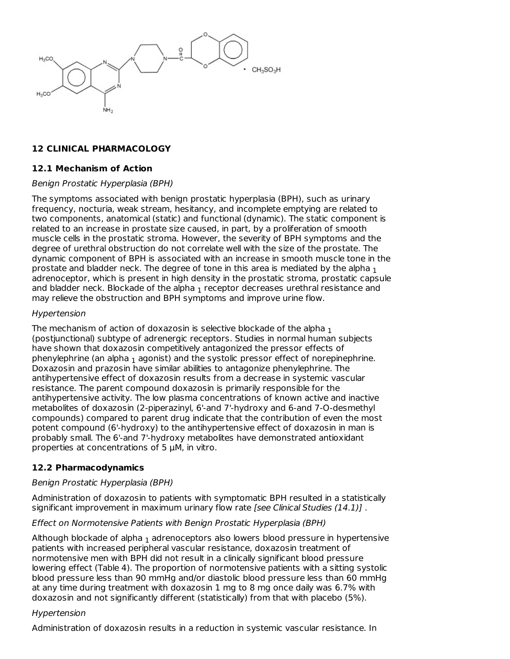

### **12 CLINICAL PHARMACOLOGY**

### **12.1 Mechanism of Action**

#### Benign Prostatic Hyperplasia (BPH)

The symptoms associated with benign prostatic hyperplasia (BPH), such as urinary frequency, nocturia, weak stream, hesitancy, and incomplete emptying are related to two components, anatomical (static) and functional (dynamic). The static component is related to an increase in prostate size caused, in part, by a proliferation of smooth muscle cells in the prostatic stroma. However, the severity of BPH symptoms and the degree of urethral obstruction do not correlate well with the size of the prostate. The dynamic component of BPH is associated with an increase in smooth muscle tone in the prostate and bladder neck. The degree of tone in this area is mediated by the alpha  $_{\rm 1}$ adrenoceptor, which is present in high density in the prostatic stroma, prostatic capsule and bladder neck. Blockade of the alpha  $_{\rm 1}$  receptor decreases urethral resistance and may relieve the obstruction and BPH symptoms and improve urine flow.

#### Hypertension

The mechanism of action of doxazosin is selective blockade of the alpha  $_{\rm 1}$ (postjunctional) subtype of adrenergic receptors. Studies in normal human subjects have shown that doxazosin competitively antagonized the pressor effects of phenylephrine (an alpha  $_{\rm 1}$  agonist) and the systolic pressor effect of norepinephrine. Doxazosin and prazosin have similar abilities to antagonize phenylephrine. The antihypertensive effect of doxazosin results from a decrease in systemic vascular resistance. The parent compound doxazosin is primarily responsible for the antihypertensive activity. The low plasma concentrations of known active and inactive metabolites of doxazosin (2-piperazinyl, 6'-and 7'-hydroxy and 6-and 7-O-desmethyl compounds) compared to parent drug indicate that the contribution of even the most potent compound (6'-hydroxy) to the antihypertensive effect of doxazosin in man is probably small. The 6'-and 7'-hydroxy metabolites have demonstrated antioxidant properties at concentrations of 5 μM, in vitro.

#### **12.2 Pharmacodynamics**

#### Benign Prostatic Hyperplasia (BPH)

Administration of doxazosin to patients with symptomatic BPH resulted in a statistically significant improvement in maximum urinary flow rate [see Clinical Studies (14.1)].

#### Effect on Normotensive Patients with Benign Prostatic Hyperplasia (BPH)

Although blockade of alpha  $_{\rm 1}$  adrenoceptors also lowers blood pressure in hypertensive patients with increased peripheral vascular resistance, doxazosin treatment of normotensive men with BPH did not result in a clinically significant blood pressure lowering effect (Table 4). The proportion of normotensive patients with a sitting systolic blood pressure less than 90 mmHg and/or diastolic blood pressure less than 60 mmHg at any time during treatment with doxazosin 1 mg to 8 mg once daily was 6.7% with doxazosin and not significantly different (statistically) from that with placebo (5%).

#### Hypertension

Administration of doxazosin results in a reduction in systemic vascular resistance. In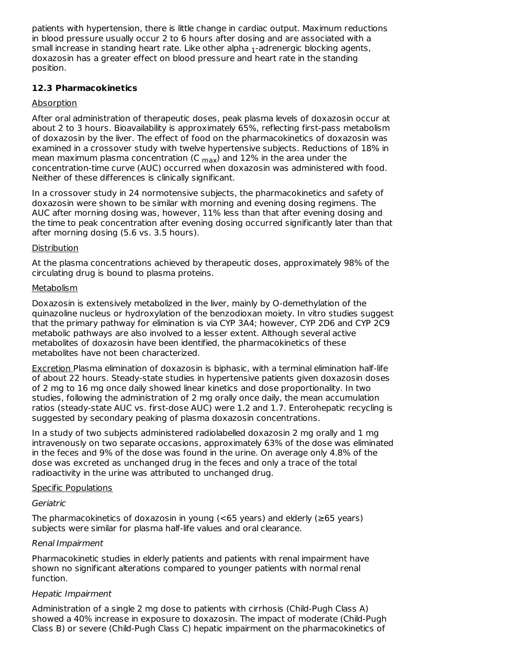patients with hypertension, there is little change in cardiac output. Maximum reductions in blood pressure usually occur 2 to 6 hours after dosing and are associated with a small increase in standing heart rate. Like other alpha <sub>1</sub>-adrenergic blocking agents, doxazosin has a greater effect on blood pressure and heart rate in the standing position.

### **12.3 Pharmacokinetics**

#### Absorption

After oral administration of therapeutic doses, peak plasma levels of doxazosin occur at about 2 to 3 hours. Bioavailability is approximately 65%, reflecting first-pass metabolism of doxazosin by the liver. The effect of food on the pharmacokinetics of doxazosin was examined in a crossover study with twelve hypertensive subjects. Reductions of 18% in mean maximum plasma concentration (C  $_{\sf max}$ ) and 12% in the area under the concentration-time curve (AUC) occurred when doxazosin was administered with food. Neither of these differences is clinically significant.

In a crossover study in 24 normotensive subjects, the pharmacokinetics and safety of doxazosin were shown to be similar with morning and evening dosing regimens. The AUC after morning dosing was, however, 11% less than that after evening dosing and the time to peak concentration after evening dosing occurred significantly later than that after morning dosing (5.6 vs. 3.5 hours).

#### **Distribution**

At the plasma concentrations achieved by therapeutic doses, approximately 98% of the circulating drug is bound to plasma proteins.

### Metabolism

Doxazosin is extensively metabolized in the liver, mainly by O-demethylation of the quinazoline nucleus or hydroxylation of the benzodioxan moiety. In vitro studies suggest that the primary pathway for elimination is via CYP 3A4; however, CYP 2D6 and CYP 2C9 metabolic pathways are also involved to a lesser extent. Although several active metabolites of doxazosin have been identified, the pharmacokinetics of these metabolites have not been characterized.

Excretion Plasma elimination of doxazosin is biphasic, with a terminal elimination half-life of about 22 hours. Steady-state studies in hypertensive patients given doxazosin doses of 2 mg to 16 mg once daily showed linear kinetics and dose proportionality. In two studies, following the administration of 2 mg orally once daily, the mean accumulation ratios (steady-state AUC vs. first-dose AUC) were 1.2 and 1.7. Enterohepatic recycling is suggested by secondary peaking of plasma doxazosin concentrations.

In a study of two subjects administered radiolabelled doxazosin 2 mg orally and 1 mg intravenously on two separate occasions, approximately 63% of the dose was eliminated in the feces and 9% of the dose was found in the urine. On average only 4.8% of the dose was excreted as unchanged drug in the feces and only a trace of the total radioactivity in the urine was attributed to unchanged drug.

### Specific Populations

#### Geriatric

The pharmacokinetics of doxazosin in young (<65 years) and elderly ( $\geq$ 65 years) subjects were similar for plasma half-life values and oral clearance.

#### Renal Impairment

Pharmacokinetic studies in elderly patients and patients with renal impairment have shown no significant alterations compared to younger patients with normal renal function.

#### Hepatic Impairment

Administration of a single 2 mg dose to patients with cirrhosis (Child-Pugh Class A) showed a 40% increase in exposure to doxazosin. The impact of moderate (Child-Pugh Class B) or severe (Child-Pugh Class C) hepatic impairment on the pharmacokinetics of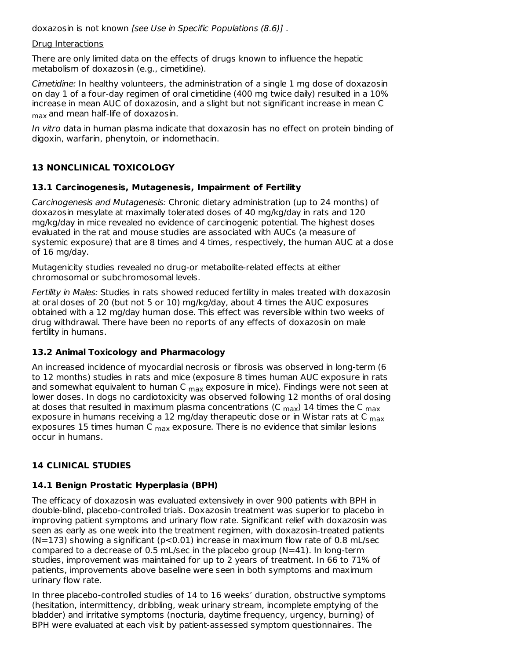doxazosin is not known [see Use in Specific Populations (8.6)] .

### Drug Interactions

There are only limited data on the effects of drugs known to influence the hepatic metabolism of doxazosin (e.g., cimetidine).

Cimetidine: In healthy volunteers, the administration of a single 1 mg dose of doxazosin on day 1 of a four-day regimen of oral cimetidine (400 mg twice daily) resulted in a 10% increase in mean AUC of doxazosin, and a slight but not significant increase in mean C  $_{\sf max}$  and mean half-life of doxazosin.

In vitro data in human plasma indicate that doxazosin has no effect on protein binding of digoxin, warfarin, phenytoin, or indomethacin.

## **13 NONCLINICAL TOXICOLOGY**

### **13.1 Carcinogenesis, Mutagenesis, Impairment of Fertility**

Carcinogenesis and Mutagenesis: Chronic dietary administration (up to 24 months) of doxazosin mesylate at maximally tolerated doses of 40 mg/kg/day in rats and 120 mg/kg/day in mice revealed no evidence of carcinogenic potential. The highest doses evaluated in the rat and mouse studies are associated with AUCs (a measure of systemic exposure) that are 8 times and 4 times, respectively, the human AUC at a dose of 16 mg/day.

Mutagenicity studies revealed no drug-or metabolite-related effects at either chromosomal or subchromosomal levels.

Fertility in Males: Studies in rats showed reduced fertility in males treated with doxazosin at oral doses of 20 (but not 5 or 10) mg/kg/day, about 4 times the AUC exposures obtained with a 12 mg/day human dose. This effect was reversible within two weeks of drug withdrawal. There have been no reports of any effects of doxazosin on male fertility in humans.

## **13.2 Animal Toxicology and Pharmacology**

An increased incidence of myocardial necrosis or fibrosis was observed in long-term (6 to 12 months) studies in rats and mice (exposure 8 times human AUC exposure in rats and somewhat equivalent to human C <sub>max</sub> exposure in mice). Findings were not seen at lower doses. In dogs no cardiotoxicity was observed following 12 months of oral dosing at doses that resulted in maximum plasma concentrations (C  $_{\sf max}$ ) 14 times the C  $_{\sf max}$ exposure in humans receiving a 12 mg/day therapeutic dose or in Wistar rats at C <sub>max</sub> exposures 15 times human C <sub>max</sub> exposure. There is no evidence that similar lesions occur in humans.

## **14 CLINICAL STUDIES**

## **14.1 Benign Prostatic Hyperplasia (BPH)**

The efficacy of doxazosin was evaluated extensively in over 900 patients with BPH in double-blind, placebo-controlled trials. Doxazosin treatment was superior to placebo in improving patient symptoms and urinary flow rate. Significant relief with doxazosin was seen as early as one week into the treatment regimen, with doxazosin-treated patients  $(N=173)$  showing a significant  $(p<0.01)$  increase in maximum flow rate of 0.8 mL/sec compared to a decrease of 0.5 mL/sec in the placebo group (N=41). In long-term studies, improvement was maintained for up to 2 years of treatment. In 66 to 71% of patients, improvements above baseline were seen in both symptoms and maximum urinary flow rate.

In three placebo-controlled studies of 14 to 16 weeks' duration, obstructive symptoms (hesitation, intermittency, dribbling, weak urinary stream, incomplete emptying of the bladder) and irritative symptoms (nocturia, daytime frequency, urgency, burning) of BPH were evaluated at each visit by patient-assessed symptom questionnaires. The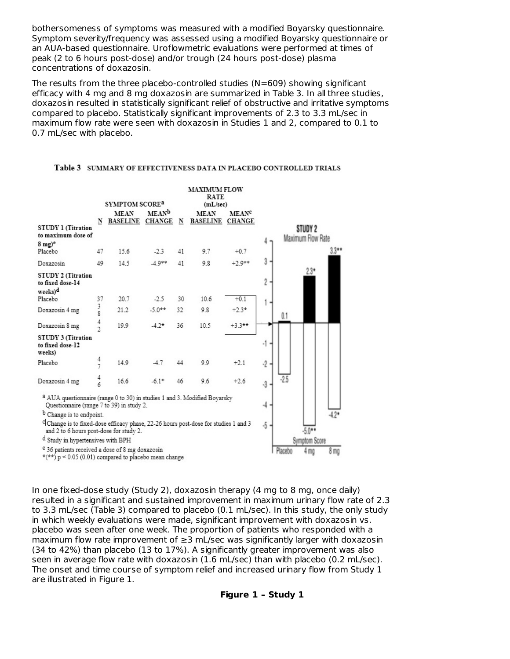bothersomeness of symptoms was measured with a modified Boyarsky questionnaire. Symptom severity/frequency was assessed using a modified Boyarsky questionnaire or an AUA-based questionnaire. Uroflowmetric evaluations were performed at times of peak (2 to 6 hours post-dose) and/or trough (24 hours post-dose) plasma concentrations of doxazosin.

The results from the three placebo-controlled studies  $(N=609)$  showing significant efficacy with 4 mg and 8 mg doxazosin are summarized in Table 3. In all three studies, doxazosin resulted in statistically significant relief of obstructive and irritative symptoms compared to placebo. Statistically significant improvements of 2.3 to 3.3 mL/sec in maximum flow rate were seen with doxazosin in Studies 1 and 2, compared to 0.1 to 0.7 mL/sec with placebo.

|                                                                                                                                           |                     | <b>MAXIMUM FLOW</b><br><b>RATE</b><br>SYMPTOM SCORE <sup>a</sup><br>(mL/sec) |                          |         |                               |                   |      |        |                              |          |
|-------------------------------------------------------------------------------------------------------------------------------------------|---------------------|------------------------------------------------------------------------------|--------------------------|---------|-------------------------------|-------------------|------|--------|------------------------------|----------|
|                                                                                                                                           |                     | MEAN                                                                         | <b>MEAN</b> <sup>b</sup> |         | <b>MEAN</b>                   | MEAN <sup>c</sup> |      |        |                              |          |
| <b>STUDY 1 (Titration</b><br>to maximum dose of<br>$8 \text{ mg})$ <sup>e</sup><br>Placebo                                                | N<br>47             | <b>BASELINE CHANGE</b><br>15.6                                               | $-2.3$                   | N<br>41 | <b>BASELINE CHANGE</b><br>9.7 | $+0.7$            |      |        | STUDY 2<br>Maximum Flow Rate | $3.3***$ |
| Doxazosin                                                                                                                                 | 49                  | 14.5                                                                         | $-4.9**$                 | 41      | 9.8                           | $+2.9**$          | 3    |        |                              |          |
| STUDY 2 (Titration<br>to fixed dose-14<br>weeks) <sup>d</sup>                                                                             |                     |                                                                              |                          |         |                               |                   | 2    |        | $23*$                        |          |
| Placebo                                                                                                                                   | 37                  | 20.7                                                                         | $-2.5$                   | 30      | 10.6                          | $+0.1$            |      |        |                              |          |
| Doxazosin 4 mg                                                                                                                            | 3<br>8              | 21.2                                                                         | $-5.0**$                 | 32      | 9.8                           | $+2.3*$           |      | 0.1    |                              |          |
| Doxazosin 8 mg                                                                                                                            | 4<br>$\overline{1}$ | 19.9                                                                         | $-4.2*$                  | 36      | 10.5                          | $+3.3***$         |      |        |                              |          |
| <b>STUDY 3 (Titration</b><br>to fixed dose-12<br>weeks)                                                                                   |                     |                                                                              |                          |         |                               |                   | -1   |        |                              |          |
| Placebo                                                                                                                                   | $\frac{4}{7}$       | 14.9                                                                         | $-4.7$                   | 44      | 9.9                           | $+2.1$            | $-2$ |        |                              |          |
| Doxazosin 4 mg                                                                                                                            | $\frac{4}{6}$       | 16.6                                                                         | $-6.1*$                  | 46      | 9.6                           | $+2.6$            | -3   | $-2.5$ |                              |          |
| <sup>a</sup> AUA questionnaire (range 0 to 30) in studies 1 and 3. Modified Boyarsky<br>Questionnaire (range 7 to 39) in study 2.         |                     |                                                                              |                          |         |                               |                   |      |        |                              |          |
| <sup>b</sup> Change is to endpoint.                                                                                                       |                     |                                                                              |                          |         |                               |                   |      |        |                              | $-4.2*$  |
| <sup>c</sup> Change is to fixed-dose efficacy phase, 22-26 hours post-dose for studies 1 and 3<br>and 2 to 6 hours post-dose for study 2. |                     |                                                                              |                          |         |                               |                   | -5   |        | $-5.0**$                     |          |
| <sup>d</sup> Study in hypertensives with BPH                                                                                              |                     |                                                                              |                          |         |                               |                   |      |        | Symptom Score                |          |
| e 36 patients received a dose of 8 mg doxazosin<br>$\star$ (**) p < 0.05 (0.01) compared to placebo mean change                           |                     |                                                                              |                          |         |                               |                   |      |        | 4 mg                         | 8 mg     |

#### Table 3 SUMMARY OF EFFECTIVENESS DATA IN PLACEBO CONTROLLED TRIALS

In one fixed-dose study (Study 2), doxazosin therapy (4 mg to 8 mg, once daily) resulted in a significant and sustained improvement in maximum urinary flow rate of 2.3 to 3.3 mL/sec (Table 3) compared to placebo (0.1 mL/sec). In this study, the only study in which weekly evaluations were made, significant improvement with doxazosin vs. placebo was seen after one week. The proportion of patients who responded with a maximum flow rate improvement of ≥3 mL/sec was significantly larger with doxazosin (34 to 42%) than placebo (13 to 17%). A significantly greater improvement was also seen in average flow rate with doxazosin (1.6 mL/sec) than with placebo (0.2 mL/sec). The onset and time course of symptom relief and increased urinary flow from Study 1 are illustrated in Figure 1.

### **Figure 1 – Study 1**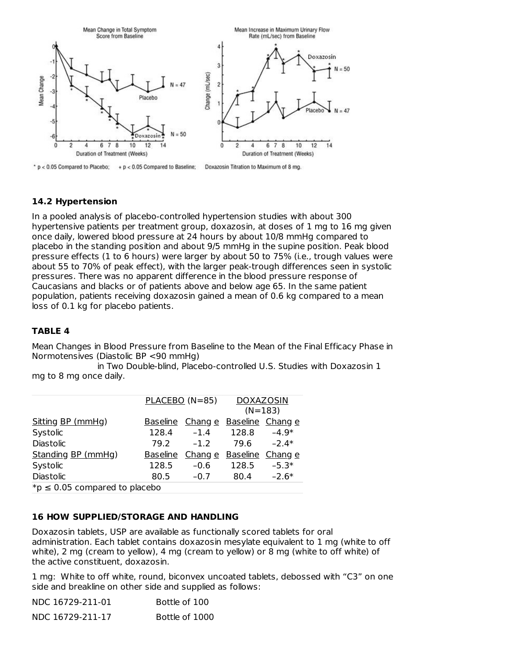

\*  $p < 0.05$  Compared to Placebo; +  $p < 0.05$  Compared to Baseline; Doxazosin Titration to Maximum of 8 mg.

### **14.2 Hypertension**

In a pooled analysis of placebo-controlled hypertension studies with about 300 hypertensive patients per treatment group, doxazosin, at doses of 1 mg to 16 mg given once daily, lowered blood pressure at 24 hours by about 10/8 mmHg compared to placebo in the standing position and about 9/5 mmHg in the supine position. Peak blood pressure effects (1 to 6 hours) were larger by about 50 to 75% (i.e., trough values were about 55 to 70% of peak effect), with the larger peak-trough differences seen in systolic pressures. There was no apparent difference in the blood pressure response of Caucasians and blacks or of patients above and below age 65. In the same patient population, patients receiving doxazosin gained a mean of 0.6 kg compared to a mean loss of 0.1 kg for placebo patients.

### **TABLE 4**

Mean Changes in Blood Pressure from Baseline to the Mean of the Final Efficacy Phase in Normotensives (Diastolic BP <90 mmHg)

in Two Double-blind, Placebo-controlled U.S. Studies with Doxazosin 1 mg to 8 mg once daily.

|                                    |       | $PLACEBO (N=85)$                | <b>DOXAZOSIN</b> |           |
|------------------------------------|-------|---------------------------------|------------------|-----------|
|                                    |       |                                 |                  | $(N=183)$ |
| Sitting BP (mmHg)                  |       | Baseline Change Baseline Change |                  |           |
| Systolic                           | 128.4 | $-1.4$                          | 128.8            | $-4.9*$   |
| Diastolic                          | 79.2  | $-1.2$                          | 79.6             | $-2.4*$   |
| Standing BP (mmHg)                 |       | <u>Baseline</u> Change          | Baseline Change  |           |
| Systolic                           | 128.5 | $-0.6$                          | 128.5            | $-5.3*$   |
| Diastolic                          | 80.5  | $-0.7$                          | 80.4             | $-2.6*$   |
| *p $\leq$ 0.05 compared to placebo |       |                                 |                  |           |

#### **16 HOW SUPPLIED/STORAGE AND HANDLING**

Doxazosin tablets, USP are available as functionally scored tablets for oral administration. Each tablet contains doxazosin mesylate equivalent to 1 mg (white to off white), 2 mg (cream to yellow), 4 mg (cream to yellow) or 8 mg (white to off white) of the active constituent, doxazosin.

1 mg: White to off white, round, biconvex uncoated tablets, debossed with "C3" on one side and breakline on other side and supplied as follows:

| NDC 16729-211-01 | Bottle of 100  |
|------------------|----------------|
| NDC 16729-211-17 | Bottle of 1000 |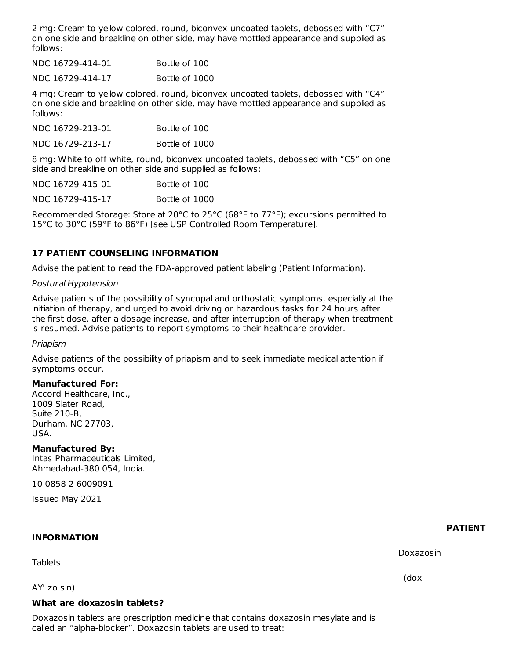2 mg: Cream to yellow colored, round, biconvex uncoated tablets, debossed with "C7" on one side and breakline on other side, may have mottled appearance and supplied as follows:

| NDC 16729-414-01 | Bottle of 100  |
|------------------|----------------|
| NDC 16729-414-17 | Bottle of 1000 |

4 mg: Cream to yellow colored, round, biconvex uncoated tablets, debossed with "C4" on one side and breakline on other side, may have mottled appearance and supplied as follows:

| NDC 16729-213-01 | Bottle of 100  |
|------------------|----------------|
| NDC 16729-213-17 | Bottle of 1000 |

8 mg: White to off white, round, biconvex uncoated tablets, debossed with "C5" on one side and breakline on other side and supplied as follows:

| NDC 16729-415-01 | Bottle of 100  |
|------------------|----------------|
| NDC 16729-415-17 | Bottle of 1000 |

Recommended Storage: Store at 20°C to 25°C (68°F to 77°F); excursions permitted to 15°C to 30°C (59°F to 86°F) [see USP Controlled Room Temperature].

### **17 PATIENT COUNSELING INFORMATION**

Advise the patient to read the FDA-approved patient labeling (Patient Information).

#### Postural Hypotension

Advise patients of the possibility of syncopal and orthostatic symptoms, especially at the initiation of therapy, and urged to avoid driving or hazardous tasks for 24 hours after the first dose, after a dosage increase, and after interruption of therapy when treatment is resumed. Advise patients to report symptoms to their healthcare provider.

#### Priapism

Advise patients of the possibility of priapism and to seek immediate medical attention if symptoms occur.

#### **Manufactured For:**

Accord Healthcare, Inc., 1009 Slater Road, Suite 210-B, Durham, NC 27703, USA.

#### **Manufactured By:**

Intas Pharmaceuticals Limited, Ahmedabad-380 054, India.

10 0858 2 6009091

Issued May 2021

#### **INFORMATION**

#### **Tablets**

AY' zo sin)

#### **What are doxazosin tablets?**

Doxazosin tablets are prescription medicine that contains doxazosin mesylate and is called an "alpha-blocker". Doxazosin tablets are used to treat:

#### **PATIENT**

### Doxazosin

(dox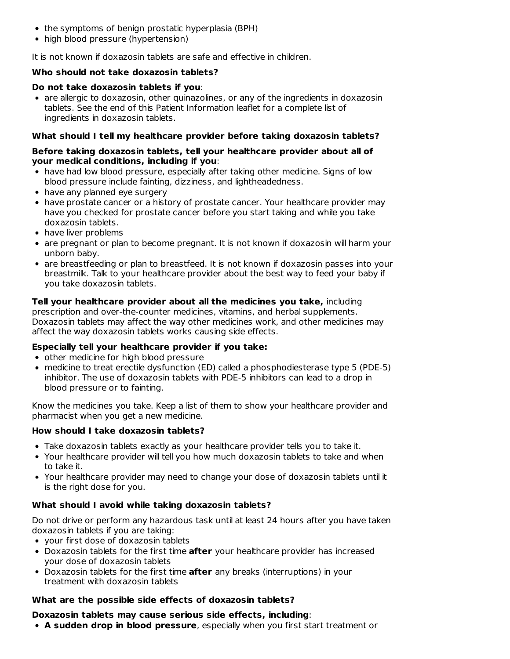- the symptoms of benign prostatic hyperplasia (BPH)
- high blood pressure (hypertension)

It is not known if doxazosin tablets are safe and effective in children.

### **Who should not take doxazosin tablets?**

#### **Do not take doxazosin tablets if you**:

• are allergic to doxazosin, other quinazolines, or any of the ingredients in doxazosin tablets. See the end of this Patient Information leaflet for a complete list of ingredients in doxazosin tablets.

### **What should I tell my healthcare provider before taking doxazosin tablets?**

#### **Before taking doxazosin tablets, tell your healthcare provider about all of your medical conditions, including if you**:

- have had low blood pressure, especially after taking other medicine. Signs of low blood pressure include fainting, dizziness, and lightheadedness.
- have any planned eye surgery
- have prostate cancer or a history of prostate cancer. Your healthcare provider may have you checked for prostate cancer before you start taking and while you take doxazosin tablets.
- have liver problems
- are pregnant or plan to become pregnant. It is not known if doxazosin will harm your unborn baby.
- are breastfeeding or plan to breastfeed. It is not known if doxazosin passes into your breastmilk. Talk to your healthcare provider about the best way to feed your baby if you take doxazosin tablets.

**Tell your healthcare provider about all the medicines you take,** including prescription and over-the-counter medicines, vitamins, and herbal supplements. Doxazosin tablets may affect the way other medicines work, and other medicines may affect the way doxazosin tablets works causing side effects.

#### **Especially tell your healthcare provider if you take:**

- other medicine for high blood pressure
- medicine to treat erectile dysfunction (ED) called a phosphodiesterase type 5 (PDE-5) inhibitor. The use of doxazosin tablets with PDE-5 inhibitors can lead to a drop in blood pressure or to fainting.

Know the medicines you take. Keep a list of them to show your healthcare provider and pharmacist when you get a new medicine.

#### **How should I take doxazosin tablets?**

- Take doxazosin tablets exactly as your healthcare provider tells you to take it.
- Your healthcare provider will tell you how much doxazosin tablets to take and when to take it.
- Your healthcare provider may need to change your dose of doxazosin tablets until it is the right dose for you.

#### **What should I avoid while taking doxazosin tablets?**

Do not drive or perform any hazardous task until at least 24 hours after you have taken doxazosin tablets if you are taking:

- your first dose of doxazosin tablets
- Doxazosin tablets for the first time **after** your healthcare provider has increased your dose of doxazosin tablets
- Doxazosin tablets for the first time **after** any breaks (interruptions) in your treatment with doxazosin tablets

### **What are the possible side effects of doxazosin tablets?**

#### **Doxazosin tablets may cause serious side effects, including**:

**A sudden drop in blood pressure**, especially when you first start treatment or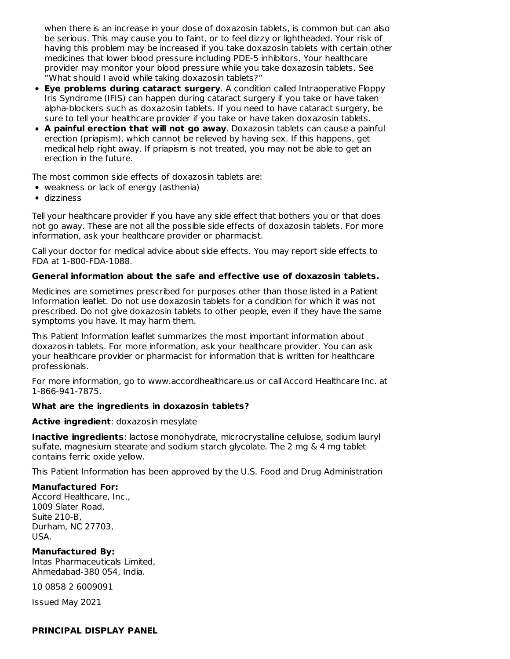when there is an increase in your dose of doxazosin tablets, is common but can also be serious. This may cause you to faint, or to feel dizzy or lightheaded. Your risk of having this problem may be increased if you take doxazosin tablets with certain other medicines that lower blood pressure including PDE-5 inhibitors. Your healthcare provider may monitor your blood pressure while you take doxazosin tablets. See "What should I avoid while taking doxazosin tablets?"

- **Eye problems during cataract surgery**. A condition called Intraoperative Floppy Iris Syndrome (IFIS) can happen during cataract surgery if you take or have taken alpha-blockers such as doxazosin tablets. If you need to have cataract surgery, be sure to tell your healthcare provider if you take or have taken doxazosin tablets.
- **A painful erection that will not go away**. Doxazosin tablets can cause a painful erection (priapism), which cannot be relieved by having sex. If this happens, get medical help right away. If priapism is not treated, you may not be able to get an erection in the future.

The most common side effects of doxazosin tablets are:

- weakness or lack of energy (asthenia)
- dizziness

Tell your healthcare provider if you have any side effect that bothers you or that does not go away. These are not all the possible side effects of doxazosin tablets. For more information, ask your healthcare provider or pharmacist.

Call your doctor for medical advice about side effects. You may report side effects to FDA at 1-800-FDA-1088.

#### **General information about the safe and effective use of doxazosin tablets.**

Medicines are sometimes prescribed for purposes other than those listed in a Patient Information leaflet. Do not use doxazosin tablets for a condition for which it was not prescribed. Do not give doxazosin tablets to other people, even if they have the same symptoms you have. It may harm them.

This Patient Information leaflet summarizes the most important information about doxazosin tablets. For more information, ask your healthcare provider. You can ask your healthcare provider or pharmacist for information that is written for healthcare professionals.

For more information, go to www.accordhealthcare.us or call Accord Healthcare Inc. at 1-866-941-7875.

#### **What are the ingredients in doxazosin tablets?**

**Active ingredient**: doxazosin mesylate

**Inactive ingredients**: lactose monohydrate, microcrystalline cellulose, sodium lauryl sulfate, magnesium stearate and sodium starch glycolate. The 2 mg  $\&$  4 mg tablet contains ferric oxide yellow.

This Patient Information has been approved by the U.S. Food and Drug Administration

#### **Manufactured For:**

Accord Healthcare, Inc., 1009 Slater Road, Suite 210-B, Durham, NC 27703, USA.

**Manufactured By:** Intas Pharmaceuticals Limited, Ahmedabad-380 054, India.

10 0858 2 6009091

Issued May 2021

#### **PRINCIPAL DISPLAY PANEL**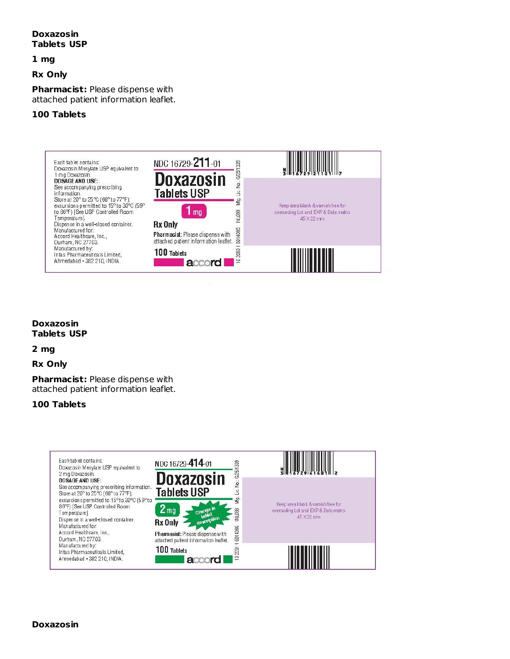#### **Doxazosin Tablets USP**

#### **1 mg**

### **Rx Only**

**Pharmacist:** Please dispense with attached patient information leaflet.

### **100 Tablets**



### **Doxazosin Tablets USP**

**2 mg**

#### **Rx Only**

**Pharmacist:** Please dispense with attached patient information leaflet.

### **100 Tablets**

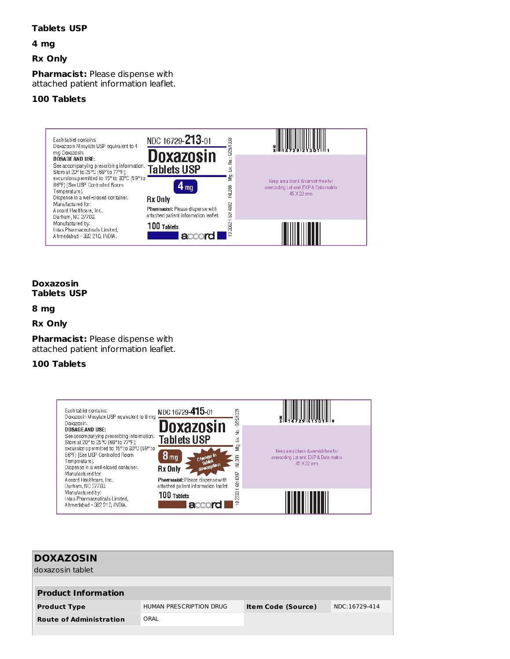#### **Tablets USP**

**4 mg**

#### **Rx Only**

**Pharmacist:** Please dispense with attached patient information leaflet.

#### **100 Tablets**



#### **Doxazosin Tablets USP**

#### **8 mg**

#### **Rx Only**

**Pharmacist:** Please dispense with attached patient information leaflet.

#### **100 Tablets**



| <b>DOXAZOSIN</b><br>doxazosin tablet |                         |                           |               |
|--------------------------------------|-------------------------|---------------------------|---------------|
| <b>Product Information</b>           |                         |                           |               |
| <b>Product Type</b>                  | HUMAN PRESCRIPTION DRUG | <b>Item Code (Source)</b> | NDC:16729-414 |
| <b>Route of Administration</b>       | ORAL                    |                           |               |
|                                      |                         |                           |               |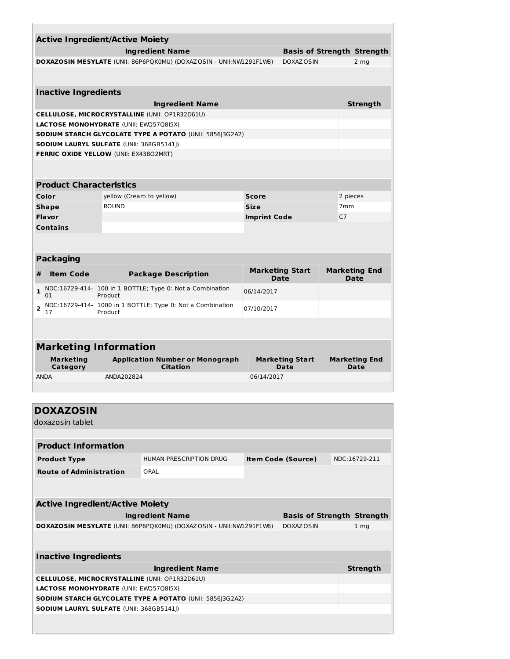| <b>Active Ingredient/Active Moiety</b>                |                          |                                                                     |                     |                                   |                 |                                   |
|-------------------------------------------------------|--------------------------|---------------------------------------------------------------------|---------------------|-----------------------------------|-----------------|-----------------------------------|
|                                                       |                          | <b>Ingredient Name</b>                                              |                     |                                   |                 | <b>Basis of Strength Strength</b> |
|                                                       |                          | DOXAZOSIN MESYLATE (UNII: 86P6PQK0MU) (DOXAZOSIN - UNII:NW1291F1W8) |                     | DOXAZ OSIN                        |                 | 2 <sub>mg</sub>                   |
| <b>Inactive Ingredients</b>                           |                          |                                                                     |                     |                                   |                 |                                   |
|                                                       |                          | <b>Ingredient Name</b>                                              |                     |                                   |                 | <b>Strength</b>                   |
| <b>CELLULOSE, MICROCRYSTALLINE (UNII: OP1R32D61U)</b> |                          |                                                                     |                     |                                   |                 |                                   |
| LACTOSE MONOHYDRATE (UNII: EWQ57Q8I5X)                |                          |                                                                     |                     |                                   |                 |                                   |
| <b>SODIUM LAURYL SULFATE (UNII: 368GB5141))</b>       |                          | <b>SODIUM STARCH GLYCOLATE TYPE A POTATO (UNII: 5856 3G2A2)</b>     |                     |                                   |                 |                                   |
| FERRIC OXIDE YELLOW (UNII: EX43802MRT)                |                          |                                                                     |                     |                                   |                 |                                   |
|                                                       |                          |                                                                     |                     |                                   |                 |                                   |
|                                                       |                          |                                                                     |                     |                                   |                 |                                   |
| <b>Product Characteristics</b>                        |                          |                                                                     |                     |                                   |                 |                                   |
| Color                                                 | yellow (Cream to yellow) |                                                                     | <b>Score</b>        |                                   | 2 pieces        |                                   |
| <b>Shape</b>                                          | <b>ROUND</b>             |                                                                     | <b>Size</b>         |                                   | 7 <sub>mm</sub> |                                   |
| Flavor<br><b>Contains</b>                             |                          |                                                                     | <b>Imprint Code</b> |                                   | C7              |                                   |
|                                                       |                          |                                                                     |                     |                                   |                 |                                   |
|                                                       |                          |                                                                     |                     |                                   |                 |                                   |
| <b>Packaging</b>                                      |                          |                                                                     |                     |                                   |                 |                                   |
| <b>Item Code</b><br>#                                 |                          | <b>Package Description</b>                                          |                     | <b>Marketing Start</b><br>Date    |                 | <b>Marketing End</b><br>Date      |
| $\mathbf{1}$                                          |                          | NDC:16729-414- 100 in 1 BOTTLE; Type 0: Not a Combination           | 06/14/2017          |                                   |                 |                                   |
| 01<br>NDC:16729-414-<br>2                             | Product                  | 1000 in 1 BOTTLE; Type 0: Not a Combination                         | 07/10/2017          |                                   |                 |                                   |
| 17                                                    | Product                  |                                                                     |                     |                                   |                 |                                   |
|                                                       |                          |                                                                     |                     |                                   |                 |                                   |
| <b>Marketing Information</b>                          |                          |                                                                     |                     |                                   |                 |                                   |
| Marketing                                             |                          | <b>Application Number or Monograph</b>                              |                     | <b>Marketing Start</b>            |                 | <b>Marketing End</b>              |
| Category<br><b>ANDA</b>                               | ANDA202824               | <b>Citation</b>                                                     | 06/14/2017          | Date                              |                 | <b>Date</b>                       |
|                                                       |                          |                                                                     |                     |                                   |                 |                                   |
|                                                       |                          |                                                                     |                     |                                   |                 |                                   |
| <b>DOXAZOSIN</b>                                      |                          |                                                                     |                     |                                   |                 |                                   |
| doxazosin tablet                                      |                          |                                                                     |                     |                                   |                 |                                   |
|                                                       |                          |                                                                     |                     |                                   |                 |                                   |
| <b>Product Information</b>                            |                          |                                                                     |                     |                                   |                 |                                   |
| <b>Product Type</b>                                   |                          | HUMAN PRESCRIPTION DRUG                                             |                     | <b>Item Code (Source)</b>         |                 | NDC:16729-211                     |
| <b>Route of Administration</b>                        |                          | ORAL                                                                |                     |                                   |                 |                                   |
|                                                       |                          |                                                                     |                     |                                   |                 |                                   |
| <b>Active Ingredient/Active Moiety</b>                |                          |                                                                     |                     |                                   |                 |                                   |
|                                                       |                          | <b>Ingredient Name</b>                                              |                     | <b>Basis of Strength Strength</b> |                 |                                   |
|                                                       |                          | DOXAZOSIN MESYLATE (UNII: 86P6PQK0MU) (DOXAZOSIN - UNII:NW1291F1W8) |                     | DOXAZ OSIN                        |                 | 1 <sub>mg</sub>                   |
|                                                       |                          |                                                                     |                     |                                   |                 |                                   |
|                                                       |                          |                                                                     |                     |                                   |                 |                                   |
| <b>Inactive Ingredients</b>                           |                          | <b>Ingredient Name</b>                                              |                     |                                   |                 | <b>Strength</b>                   |
| <b>CELLULOSE, MICROCRYSTALLINE (UNII: OP1R32D61U)</b> |                          |                                                                     |                     |                                   |                 |                                   |
| LACTOSE MONOHYDRATE (UNII: EWQ57Q8I5X)                |                          |                                                                     |                     |                                   |                 |                                   |
|                                                       |                          | <b>SODIUM STARCH GLYCOLATE TYPE A POTATO (UNII: 5856J3G2A2)</b>     |                     |                                   |                 |                                   |
| <b>SODIUM LAURYL SULFATE (UNII: 368GB5141J)</b>       |                          |                                                                     |                     |                                   |                 |                                   |
|                                                       |                          |                                                                     |                     |                                   |                 |                                   |
|                                                       |                          |                                                                     |                     |                                   |                 |                                   |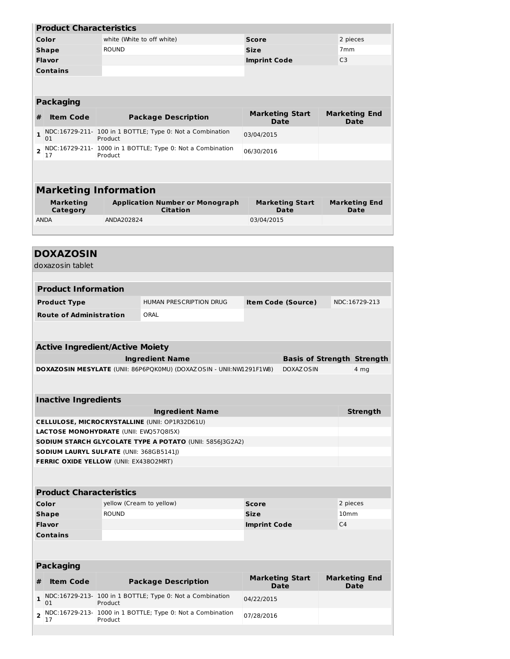| <b>Product Characteristics</b>                                      |                                                 |              |                                                            |                                |                           |                |                                   |
|---------------------------------------------------------------------|-------------------------------------------------|--------------|------------------------------------------------------------|--------------------------------|---------------------------|----------------|-----------------------------------|
|                                                                     | white (White to off white)<br>Color             |              |                                                            | <b>Score</b>                   |                           |                | 2 pieces                          |
|                                                                     | Shape                                           | <b>ROUND</b> |                                                            |                                | <b>Size</b>               |                | 7 <sub>mm</sub>                   |
| Flavor                                                              |                                                 |              |                                                            | <b>Imprint Code</b>            |                           | C <sub>3</sub> |                                   |
|                                                                     | <b>Contains</b>                                 |              |                                                            |                                |                           |                |                                   |
|                                                                     |                                                 |              |                                                            |                                |                           |                |                                   |
|                                                                     |                                                 |              |                                                            |                                |                           |                |                                   |
|                                                                     | <b>Packaging</b>                                |              |                                                            |                                |                           |                |                                   |
| #                                                                   | <b>Item Code</b>                                |              | <b>Package Description</b>                                 | <b>Marketing Start</b><br>Date |                           |                | <b>Marketing End</b><br>Date      |
| $\mathbf{1}$                                                        | 01                                              | Product      | NDC:16729-211- 100 in 1 BOTTLE; Type 0: Not a Combination  | 03/04/2015                     |                           |                |                                   |
| $\overline{2}$                                                      | 17                                              | Product      | NDC:16729-211- 1000 in 1 BOTTLE; Type 0: Not a Combination | 06/30/2016                     |                           |                |                                   |
|                                                                     |                                                 |              |                                                            |                                |                           |                |                                   |
|                                                                     |                                                 |              |                                                            |                                |                           |                |                                   |
|                                                                     | <b>Marketing Information</b>                    |              |                                                            |                                |                           |                |                                   |
|                                                                     | Marketing                                       |              | <b>Application Number or Monograph</b>                     |                                | <b>Marketing Start</b>    |                | <b>Marketing End</b>              |
|                                                                     | Category                                        |              | Citation                                                   |                                | Date                      | Date           |                                   |
|                                                                     | <b>ANDA</b>                                     | ANDA202824   |                                                            | 03/04/2015                     |                           |                |                                   |
|                                                                     |                                                 |              |                                                            |                                |                           |                |                                   |
|                                                                     |                                                 |              |                                                            |                                |                           |                |                                   |
|                                                                     | <b>DOXAZOSIN</b>                                |              |                                                            |                                |                           |                |                                   |
|                                                                     | doxazosin tablet                                |              |                                                            |                                |                           |                |                                   |
|                                                                     |                                                 |              |                                                            |                                |                           |                |                                   |
|                                                                     | <b>Product Information</b>                      |              |                                                            |                                |                           |                |                                   |
|                                                                     | <b>Product Type</b>                             |              | HUMAN PRESCRIPTION DRUG                                    |                                | <b>Item Code (Source)</b> |                | NDC:16729-213                     |
| <b>Route of Administration</b>                                      |                                                 |              | ORAL                                                       |                                |                           |                |                                   |
|                                                                     |                                                 |              |                                                            |                                |                           |                |                                   |
|                                                                     |                                                 |              |                                                            |                                |                           |                |                                   |
|                                                                     | <b>Active Ingredient/Active Moiety</b>          |              |                                                            |                                |                           |                |                                   |
|                                                                     |                                                 |              | <b>Ingredient Name</b>                                     |                                |                           |                | <b>Basis of Strength Strength</b> |
| DOXAZOSIN MESYLATE (UNII: 86P6PQK0MU) (DOXAZOSIN - UNII:NW1291F1W8) |                                                 |              |                                                            |                                | DOXAZ OSIN                |                | 4 mg                              |
|                                                                     |                                                 |              |                                                            |                                |                           |                |                                   |
|                                                                     |                                                 |              |                                                            |                                |                           |                |                                   |
|                                                                     | <b>Inactive Ingredients</b>                     |              |                                                            |                                |                           |                |                                   |
|                                                                     |                                                 |              | <b>Ingredient Name</b>                                     |                                |                           |                | <b>Strength</b>                   |
|                                                                     |                                                 |              | <b>CELLULOSE, MICROCRYSTALLINE (UNII: OP1R32D61U)</b>      |                                |                           |                |                                   |
|                                                                     | LACTOSE MONOHYDRATE (UNII: EWQ57Q8I5X)          |              | SODIUM STARCH GLYCOLATE TYPE A POTATO (UNII: 5856J3G2A2)   |                                |                           |                |                                   |
|                                                                     | <b>SODIUM LAURYL SULFATE (UNII: 368GB5141))</b> |              |                                                            |                                |                           |                |                                   |
|                                                                     | FERRIC OXIDE YELLOW (UNII: EX43802MRT)          |              |                                                            |                                |                           |                |                                   |
|                                                                     |                                                 |              |                                                            |                                |                           |                |                                   |
|                                                                     |                                                 |              |                                                            |                                |                           |                |                                   |
|                                                                     | <b>Product Characteristics</b>                  |              |                                                            |                                |                           |                |                                   |
|                                                                     | Color<br>yellow (Cream to yellow)               |              |                                                            | <b>Score</b>                   |                           |                | 2 pieces                          |
|                                                                     | <b>ROUND</b><br><b>Shape</b>                    |              |                                                            | <b>Size</b>                    |                           |                | 10 <sub>mm</sub>                  |
|                                                                     | Flavor                                          |              |                                                            | <b>Imprint Code</b>            |                           | C <sub>4</sub> |                                   |
|                                                                     | <b>Contains</b>                                 |              |                                                            |                                |                           |                |                                   |
|                                                                     |                                                 |              |                                                            |                                |                           |                |                                   |
|                                                                     |                                                 |              |                                                            |                                |                           |                |                                   |
|                                                                     | <b>Packaging</b>                                |              |                                                            |                                |                           |                |                                   |

|  | <b>Item Code</b> | <b>Package Description</b>                                            | <b>Marketing Start</b><br><b>Date</b> | <b>Marketing End</b><br><b>Date</b> |
|--|------------------|-----------------------------------------------------------------------|---------------------------------------|-------------------------------------|
|  | 01               | NDC:16729-213- 100 in 1 BOTTLE; Type 0: Not a Combination<br>Product  | 04/22/2015                            |                                     |
|  |                  | NDC:16729-213- 1000 in 1 BOTTLE; Type 0: Not a Combination<br>Product | 07/28/2016                            |                                     |
|  |                  |                                                                       |                                       |                                     |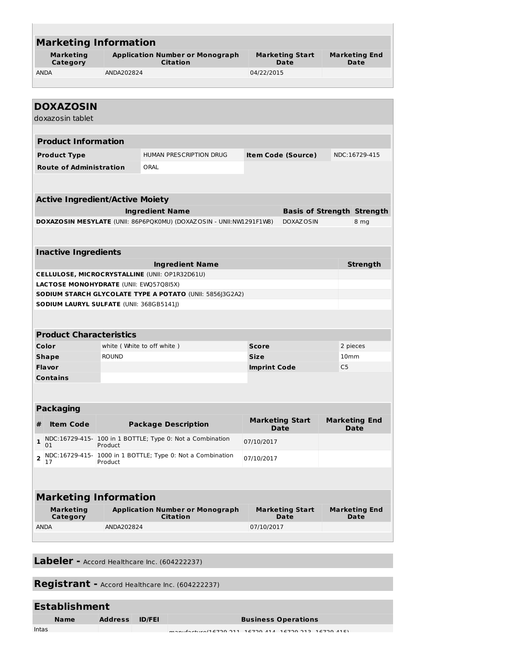| <b>Marketing Information</b> |                                                           |                                |                              |  |  |
|------------------------------|-----------------------------------------------------------|--------------------------------|------------------------------|--|--|
| <b>Marketing</b><br>Category | <b>Application Number or Monograph</b><br><b>Citation</b> | <b>Marketing Start</b><br>Date | <b>Marketing End</b><br>Date |  |  |
| <b>ANDA</b>                  | ANDA202824                                                | 04/22/2015                     |                              |  |  |
|                              |                                                           |                                |                              |  |  |

|                                       | <b>DOXAZOSIN</b>                                |                                                      |                                                                     |                                    |                                       |                  |                                     |  |  |
|---------------------------------------|-------------------------------------------------|------------------------------------------------------|---------------------------------------------------------------------|------------------------------------|---------------------------------------|------------------|-------------------------------------|--|--|
|                                       | doxazosin tablet                                |                                                      |                                                                     |                                    |                                       |                  |                                     |  |  |
|                                       |                                                 |                                                      |                                                                     |                                    |                                       |                  |                                     |  |  |
|                                       | <b>Product Information</b>                      |                                                      |                                                                     |                                    |                                       |                  |                                     |  |  |
|                                       | <b>Product Type</b>                             | HUMAN PRESCRIPTION DRUG<br><b>Item Code (Source)</b> |                                                                     |                                    |                                       |                  | NDC:16729-415                       |  |  |
|                                       | <b>Route of Administration</b>                  |                                                      | <b>ORAL</b>                                                         |                                    |                                       |                  |                                     |  |  |
|                                       |                                                 |                                                      |                                                                     |                                    |                                       |                  |                                     |  |  |
|                                       | <b>Active Ingredient/Active Moiety</b>          |                                                      |                                                                     |                                    |                                       |                  |                                     |  |  |
|                                       |                                                 |                                                      | <b>Ingredient Name</b>                                              | <b>Basis of Strength Strength</b>  |                                       |                  |                                     |  |  |
|                                       |                                                 |                                                      | DOXAZOSIN MESYLATE (UNII: 86P6POK0MU) (DOXAZOSIN - UNII:NW1291F1W8) |                                    | DOXAZ OSIN                            |                  | 8 mg                                |  |  |
|                                       | <b>Inactive Ingredients</b>                     |                                                      |                                                                     |                                    |                                       |                  |                                     |  |  |
|                                       |                                                 |                                                      | <b>Ingredient Name</b>                                              |                                    |                                       |                  | <b>Strength</b>                     |  |  |
|                                       |                                                 |                                                      | CELLULOSE, MICROCRYSTALLINE (UNII: OP1R32D61U)                      |                                    |                                       |                  |                                     |  |  |
|                                       | <b>LACTOSE MONOHYDRATE (UNII: EWQ57Q8I5X)</b>   |                                                      |                                                                     |                                    |                                       |                  |                                     |  |  |
|                                       | <b>SODIUM LAURYL SULFATE (UNII: 368GB5141J)</b> |                                                      | SODIUM STARCH GLYCOLATE TYPE A POTATO (UNII: 5856]3G2A2)            |                                    |                                       |                  |                                     |  |  |
|                                       |                                                 |                                                      |                                                                     |                                    |                                       |                  |                                     |  |  |
|                                       | <b>Product Characteristics</b>                  |                                                      |                                                                     |                                    |                                       |                  |                                     |  |  |
| white ( White to off white )<br>Color |                                                 |                                                      |                                                                     | <b>Score</b>                       |                                       |                  | 2 pieces                            |  |  |
| <b>Shape</b><br><b>ROUND</b>          |                                                 |                                                      |                                                                     | <b>Size</b><br><b>Imprint Code</b> |                                       | 10 <sub>mm</sub> |                                     |  |  |
| <b>Flavor</b><br><b>Contains</b>      |                                                 |                                                      |                                                                     |                                    |                                       | C <sub>5</sub>   |                                     |  |  |
|                                       |                                                 |                                                      |                                                                     |                                    |                                       |                  |                                     |  |  |
|                                       |                                                 |                                                      |                                                                     |                                    |                                       |                  |                                     |  |  |
|                                       | <b>Packaging</b>                                |                                                      |                                                                     |                                    |                                       |                  |                                     |  |  |
| #                                     | <b>Item Code</b>                                |                                                      | <b>Package Description</b>                                          | <b>Marketing Start</b><br>Date     |                                       |                  | <b>Marketing End</b><br>Date        |  |  |
| 1                                     | 01                                              | Product                                              | NDC:16729-415- 100 in 1 BOTTLE; Type 0: Not a Combination           | 07/10/2017                         |                                       |                  |                                     |  |  |
| $\overline{a}$                        | NDC:16729-415-<br>17                            | Product                                              | 1000 in 1 BOTTLE; Type 0: Not a Combination                         | 07/10/2017                         |                                       |                  |                                     |  |  |
|                                       |                                                 |                                                      |                                                                     |                                    |                                       |                  |                                     |  |  |
| <b>Marketing Information</b>          |                                                 |                                                      |                                                                     |                                    |                                       |                  |                                     |  |  |
|                                       | <b>Marketing</b><br>Category                    |                                                      | <b>Application Number or Monograph</b><br><b>Citation</b>           |                                    | <b>Marketing Start</b><br><b>Date</b> |                  | <b>Marketing End</b><br><b>Date</b> |  |  |
|                                       | <b>ANDA</b>                                     | ANDA202824                                           |                                                                     | 07/10/2017                         |                                       |                  |                                     |  |  |
|                                       |                                                 |                                                      |                                                                     |                                    |                                       |                  |                                     |  |  |

**Labeler -** Accord Healthcare Inc. (604222237)

**Registrant -** Accord Healthcare Inc. (604222237)

| <b>Establishment</b> |                |               |                                                      |  |  |
|----------------------|----------------|---------------|------------------------------------------------------|--|--|
| <b>Name</b>          | <b>Address</b> | <b>ID/FEI</b> | <b>Business Operations</b>                           |  |  |
| Intas                |                |               | manufacture(16720.211.16720.414.16720.212.16720.415) |  |  |